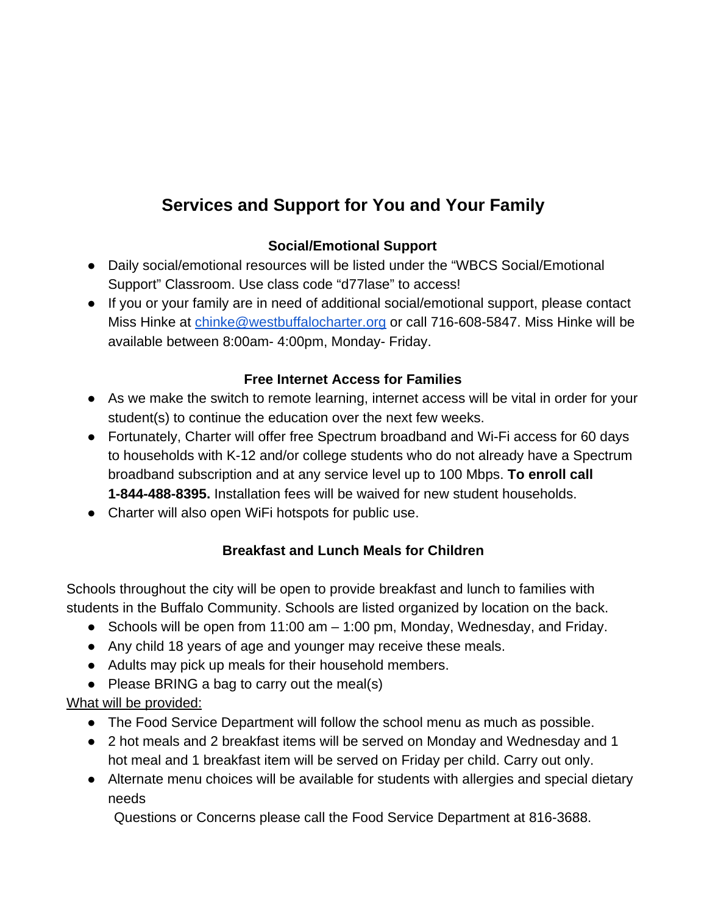# **Services and Support for You and Your Family**

#### **Social/Emotional Support**

- Daily social/emotional resources will be listed under the "WBCS Social/Emotional Support" Classroom. Use class code "d77lase" to access!
- If you or your family are in need of additional social/emotional support, please contact Miss Hinke at [chinke@westbuffalocharter.org](mailto:chinke@westbuffalocharter.org) or call 716-608-5847. Miss Hinke will be available between 8:00am- 4:00pm, Monday- Friday.

#### **Free Internet Access for Families**

- As we make the switch to remote learning, internet access will be vital in order for your student(s) to continue the education over the next few weeks.
- Fortunately, Charter will offer free Spectrum broadband and Wi-Fi access for 60 days to households with K-12 and/or college students who do not already have a Spectrum broadband subscription and at any service level up to 100 Mbps. **To enroll call 1-844-488-8395.** Installation fees will be waived for new student households.
- Charter will also open WiFi hotspots for public use.

### **Breakfast and Lunch Meals for Children**

Schools throughout the city will be open to provide breakfast and lunch to families with students in the Buffalo Community. Schools are listed organized by location on the back.

- Schools will be open from 11:00 am 1:00 pm, Monday, Wednesday, and Friday.
- Any child 18 years of age and younger may receive these meals.
- Adults may pick up meals for their household members.
- Please BRING a bag to carry out the meal(s)

### What will be provided:

- The Food Service Department will follow the school menu as much as possible.
- 2 hot meals and 2 breakfast items will be served on Monday and Wednesday and 1 hot meal and 1 breakfast item will be served on Friday per child. Carry out only.
- Alternate menu choices will be available for students with allergies and special dietary needs

Questions or Concerns please call the Food Service Department at 816-3688.